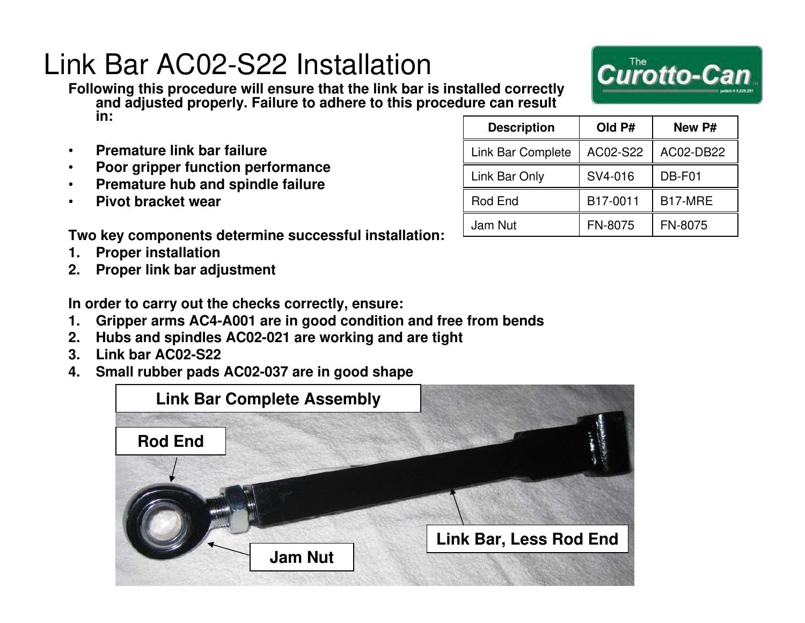### Link Bar AC02-S22 Installation

**Following this procedure will ensure that the link bar is installed correctly and adjusted properly. Failure to adhere to this procedure can result in:**

- **Premature link bar failure**
- **Poor gripper function performance**
- **Premature hub and spindle failure**
- **Pivot bracket wear**

**Two key components determine successful installation:**

- **1. Proper installation**
- **2. Proper link bar adjustment**

**In order to carry out the checks correctly, ensure:**

- **1. Gripper arms AC4-A001 are in good condition and free from bends**
- **2. Hubs and spindles AC02-021 are working and are tight**
- **3. Link bar AC02-S22**
- **4. Small rubber pads AC02-037 are in good shape**



| <b>Description</b> | Old P#   | New P#         |
|--------------------|----------|----------------|
| Link Bar Complete  | AC02-S22 | AC02-DB22      |
| Link Bar Only      | SV4-016  | DB-F01         |
| Rod End            | B17-0011 | B17-MRE        |
| Jam Nut            | FN-8075  | <b>FN-8075</b> |

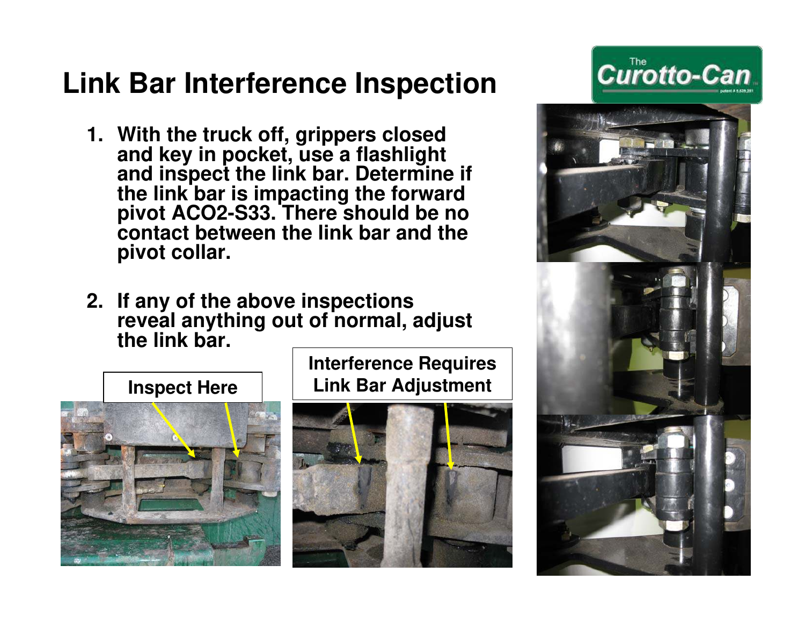# **Link Bar Interference Inspection**

- **1. With the truck off, grippers closed and key in pocket, use a flashlight and inspect the link bar. Determine if the link bar is impacting the forward pivot ACO2-S33. There should be no contact between the link bar and the pivot collar.**
- **2. If any of the above inspections reveal anything out of normal, adjust the link bar.**



**Interference Requires Link Bar Adjustment**





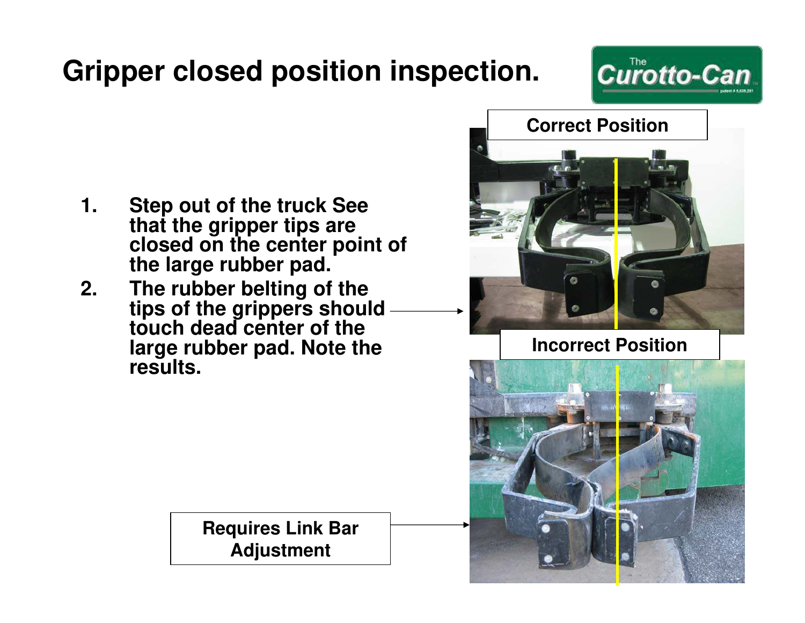# **Gripper closed position inspection.**



- **1. Step out of the truck See that the gripper tips are closed on the center point of the large rubber pad.**
- **2. The rubber belting of the tips of the grippers should touch dead center of the large rubber pad. Note the results.**

**Requires Link Bar Adjustment**



**Incorrect Position**

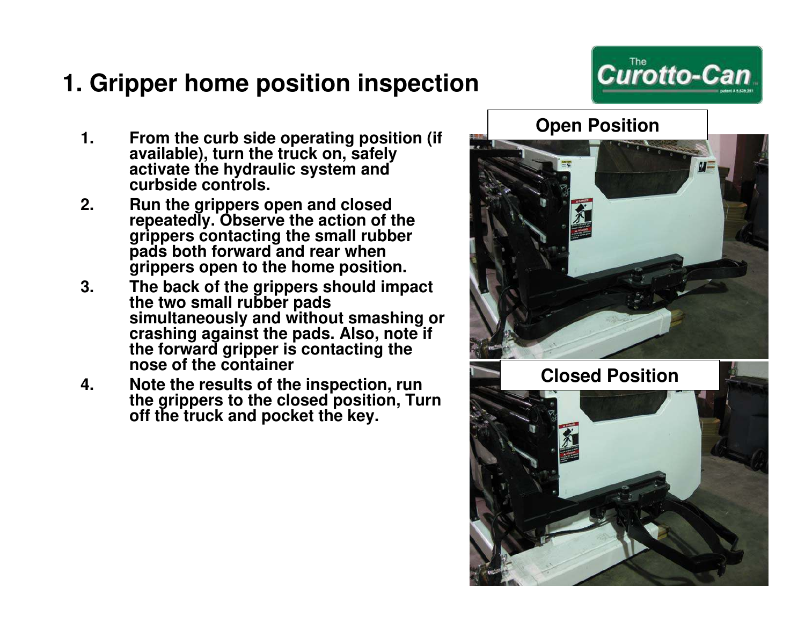#### **1. Gripper home position inspection**

- **1. From the curb side operating position (if available), turn the truck on, safely activate the hydraulic system and curbside controls.**
- **2. Run the grippers open and closed repeatedly. Observe the action of the grippers contacting the small rubber pads both forward and rear when grippers open to the home position.**
- **3. The back of the grippers should impact the two small rubber pads simultaneously and without smashing or crashing against the pads. Also, note if the forward gripper is contacting the nose of the container**
- **4. Note the results of the inspection, run the grippers to the closed position, Turn off the truck and pocket the key.**

# **Open Position**

**Closed Position**



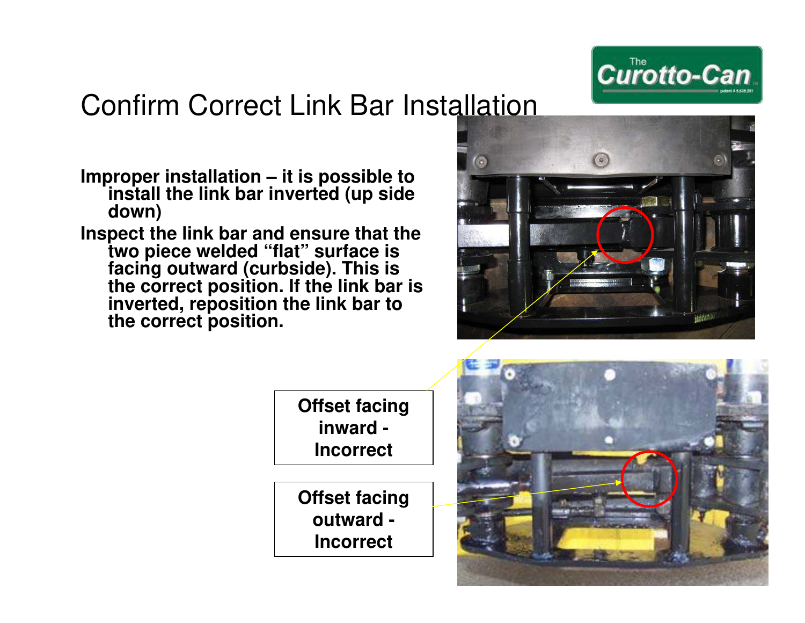

### Confirm Correct Link Bar Installation

- **Improper installation it is possible to install the link bar inverted (up side down)**
- **Inspect the link bar and ensure that the two piece welded "flat" surface is facing outward (curbside). This is the correct position. If the link bar is inverted, reposition the link bar to the correct position.**



**Offset facing inward - Incorrect**

**Offset facing outward - Incorrect**

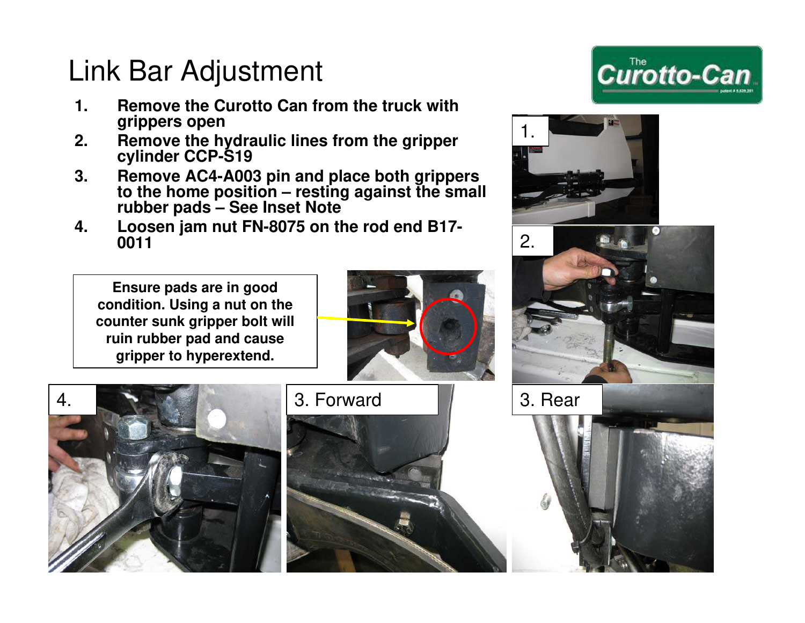# Link Bar Adjustment

- **1. Remove the Curotto Can from the truck with grippers open**
- **2. Remove the hydraulic lines from the gripper cylinder CCP-S19**
- **3. Remove AC4-A003 pin and place both grippers to the home position – resting against the small rubber pads – See Inset Note**
- **4. Loosen jam nut FN-8075 on the rod end B17- 0011**

**Ensure pads are in good condition. Using a nut on the counter sunk gripper bolt will ruin rubber pad and cause gripper to hyperextend.**